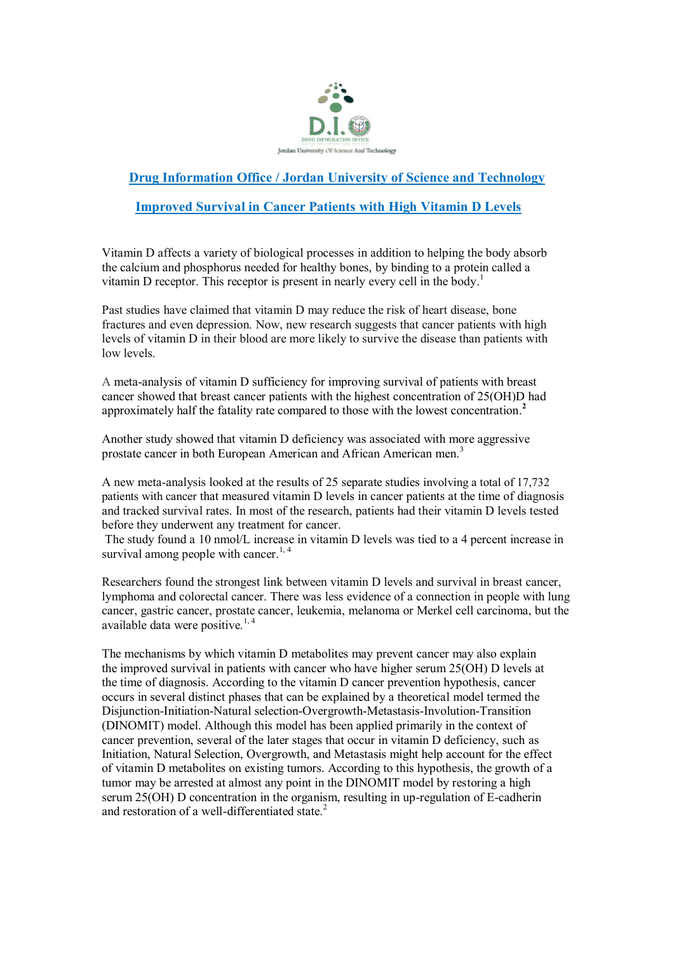

## **Drug Information Office / Jordan University of Science and Technology**

## **Improved Survival in Cancer Patients with High Vitamin D Levels**

Vitamin D affects a variety of biological processes in addition to helping the body absorb the calcium and phosphorus needed for healthy bones, by binding to a protein called a vitamin D receptor. This receptor is present in nearly every cell in the body. 1

Past studies have claimed that vitamin D may reduce the risk of heart disease, bone fractures and even depression. Now, new research suggests that cancer patients with high levels of vitamin D in their blood are more likely to survive the disease than patients with low levels.

A meta-analysis of vitamin D sufficiency for improving survival of patients with breast cancer showed that breast cancer patients with the highest concentration of 25(OH)D had approximately half the fatality rate compared to those with the lowest concentration. **2**

Another study showed that vitamin D deficiency was associated with more aggressive prostate cancer in both European American and African American men.<sup>3</sup>

A new meta-analysis looked at the results of 25 separate studies involving a total of 17,732 patients with cancer that measured vitamin D levels in cancer patients at the time of diagnosis and tracked survival rates. In most of the research, patients had their vitamin D levels tested before they underwent any treatment for cancer.

The study found a 10 nmol/L increase in vitamin D levels was tied to a 4 percent increase in survival among people with cancer.<sup>1, 4</sup>

Researchers found the strongest link between vitamin D levels and survival in breast cancer, lymphoma and colorectal cancer. There was less evidence of a connection in people with lung cancer, gastric cancer, prostate cancer, leukemia, melanoma or Merkel cell carcinoma, but the available data were positive.<sup>1,4</sup>

The mechanisms by which vitamin D metabolites may prevent cancer may also explain the improved survival in patients with cancer who have higher serum 25(OH) D levels at the time of diagnosis. According to the vitamin D cancer prevention hypothesis, cancer occurs in several distinct phases that can be explained by a theoretical model termed the Disjunction-Initiation-Natural selection-Overgrowth-Metastasis-Involution-Transition (DINOMIT) model. Although this model has been applied primarily in the context of cancer prevention, several of the later stages that occur in vitamin D deficiency, such as Initiation, Natural Selection, Overgrowth, and Metastasis might help account for the effect of vitamin D metabolites on existing tumors. According to this hypothesis, the growth of a tumor may be arrested at almost any point in the DINOMIT model by restoring a high serum 25(OH) D concentration in the organism, resulting in up-regulation of E-cadherin and restoration of a well-differentiated state.<sup>2</sup>